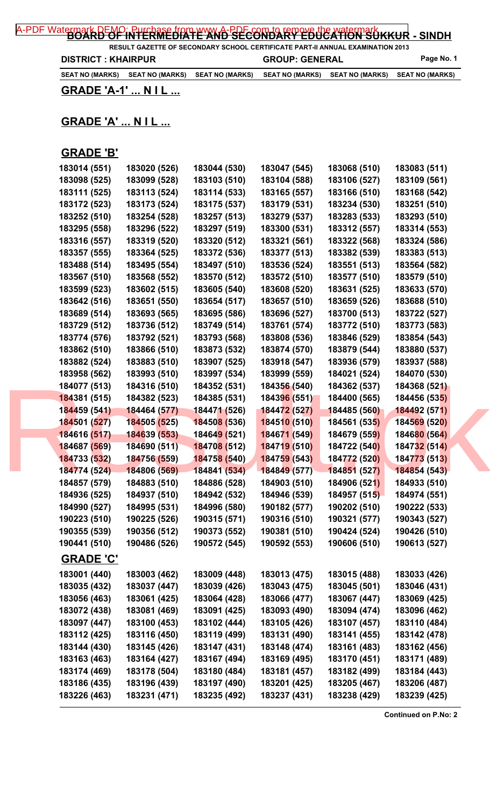**RESULT GAZETTE OF SECONDARY SCHOOL CERTIFICATE PART-II ANNUAL EXAMINATION 2013 DISTRICT : KHAIRPUR GROUP: GENERAL Page No. 1** 

**SEAT NO (MARKS) SEAT NO (MARKS) SEAT NO (MARKS) SEAT NO (MARKS) SEAT NO (MARKS) SEAT NO (MARKS)**

**GRADE 'A-1' ... N I L ...**

## **GRADE 'A' ... N I L ...**

## **GRADE 'B'**

| 183014 (551)     | 183020 (526) | 183044 (530)                | 183047 (545) | 183068 (510) | 183083 (511) |  |
|------------------|--------------|-----------------------------|--------------|--------------|--------------|--|
| 183098 (525)     | 183099 (528) | 183103 (510)                | 183104 (588) | 183106 (527) | 183109 (561) |  |
| 183111 (525)     | 183113 (524) | 183114 (533)                | 183165 (557) | 183166 (510) | 183168 (542) |  |
| 183172 (523)     | 183173 (524) | 183175 (537)                | 183179 (531) | 183234 (530) | 183251 (510) |  |
| 183252 (510)     | 183254 (528) | 183257 (513)                | 183279 (537) | 183283 (533) | 183293 (510) |  |
| 183295 (558)     | 183296 (522) | 183297 (519)                | 183300 (531) | 183312 (557) | 183314 (553) |  |
| 183316 (557)     | 183319 (520) | 183320 (512)                | 183321 (561) | 183322 (568) | 183324 (586) |  |
| 183357 (555)     | 183364 (525) | 183372 (536)                | 183377 (513) | 183382 (539) | 183383 (513) |  |
| 183488 (514)     | 183495 (554) | 183497 (510)                | 183536 (524) | 183551 (513) | 183564 (582) |  |
| 183567 (510)     | 183568 (552) | 183570 (512)                | 183572 (510) | 183577 (510) | 183579 (510) |  |
| 183599 (523)     | 183602 (515) | 183605 (540)                | 183608 (520) | 183631 (525) | 183633 (570) |  |
| 183642 (516)     | 183651 (550) | 183654 (517)                | 183657 (510) | 183659 (526) | 183688 (510) |  |
| 183689 (514)     | 183693 (565) | 183695 (586)                | 183696 (527) | 183700 (513) | 183722 (527) |  |
| 183729 (512)     | 183736 (512) | 183749 (514)                | 183761 (574) | 183772 (510) | 183773 (583) |  |
| 183774 (576)     | 183792 (521) | 183793 (568)                | 183808 (536) | 183846 (529) | 183854 (543) |  |
| 183862 (510)     | 183866 (510) | 183873 (532)                | 183874 (570) | 183879 (544) | 183880 (537) |  |
| 183882 (524)     | 183883 (510) | 183907 (525)                | 183918 (547) | 183936 (579) | 183937 (588) |  |
| 183958 (562)     | 183993 (510) | 183997 (534)                | 183999 (559) | 184021 (524) | 184070 (530) |  |
| 184077 (513)     | 184316 (510) | 184352 (531)                | 184356 (540) | 184362 (537) | 184368 (521) |  |
| 184381 (515)     | 184382 (523) | 184385 (531)                | 184396 (551) | 184400 (565) | 184456 (535) |  |
| 184459 (541)     | 184464 (577) | 184471 (526)                | 184472 (527) | 184485 (560) | 184492 (571) |  |
| 184501 (527)     | 184505 (525) | 184508 (536)                | 184510 (510) | 184561 (535) | 184569 (520) |  |
| 184616 (517)     | 184639 (553) | 18464 <mark>9 (</mark> 521) | 184671 (549) | 184679 (559) | 184680 (564) |  |
| 184687 (569)     | 184690 (511) | 184708 (512)                | 184719 (510) | 184722 (540) | 184732 (514) |  |
| 184733 (532)     | 184756 (559) | 184758 (540)                | 184759 (543) | 184772 (520) | 184773 (513) |  |
| 184774 (524)     | 184806 (569) | 184841 (534)                | 184849 (577) | 184851 (527) | 184854 (543) |  |
| 184857 (579)     | 184883 (510) | 184886 (528)                | 184903 (510) | 184906 (521) | 184933 (510) |  |
| 184936 (525)     | 184937 (510) | 184942 (532)                | 184946 (539) | 184957 (515) | 184974 (551) |  |
| 184990 (527)     | 184995 (531) | 184996 (580)                | 190182 (577) | 190202 (510) | 190222 (533) |  |
| 190223 (510)     | 190225 (526) | 190315 (571)                | 190316 (510) | 190321 (577) | 190343 (527) |  |
| 190355 (539)     | 190356 (512) | 190373 (552)                | 190381 (510) | 190424 (524) | 190426 (510) |  |
| 190441 (510)     | 190486 (526) | 190572 (545)                | 190592 (553) | 190606 (510) | 190613 (527) |  |
| <b>GRADE 'C'</b> |              |                             |              |              |              |  |
| 183001 (440)     | 183003 (462) | 183009 (448)                | 183013 (475) | 183015 (488) | 183033 (426) |  |
| 183035 (432)     | 183037 (447) | 183039 (426)                | 183043 (475) | 183045 (501) | 183046 (431) |  |
| 183056 (463)     | 183061 (425) | 183064 (428)                | 183066 (477) | 183067 (447) | 183069 (425) |  |
| 183072 (438)     | 183081 (469) | 183091 (425)                | 183093 (490) | 183094 (474) | 183096 (462) |  |
| 183097 (447)     | 183100 (453) | 183102 (444)                | 183105 (426) | 183107 (457) | 183110 (484) |  |
| 183112 (425)     | 183116 (450) | 183119 (499)                | 183131 (490) | 183141 (455) | 183142 (478) |  |
| 183144 (430)     | 183145 (426) | 183147 (431)                | 183148 (474) | 183161 (483) | 183162 (456) |  |
| 183163 (463)     | 183164 (427) | 183167 (494)                | 183169 (495) | 183170 (451) | 183171 (489) |  |
| 183174 (469)     | 183178 (504) | 183180 (484)                | 183181 (457) | 183182 (499) | 183184 (443) |  |
| 183186 (435)     | 183196 (439) | 183197 (490)                | 183201 (425) | 183205 (467) | 183206 (487) |  |
| 183226 (463)     | 183231 (471) | 183235 (492)                | 183237 (431) | 183238 (429) | 183239 (425) |  |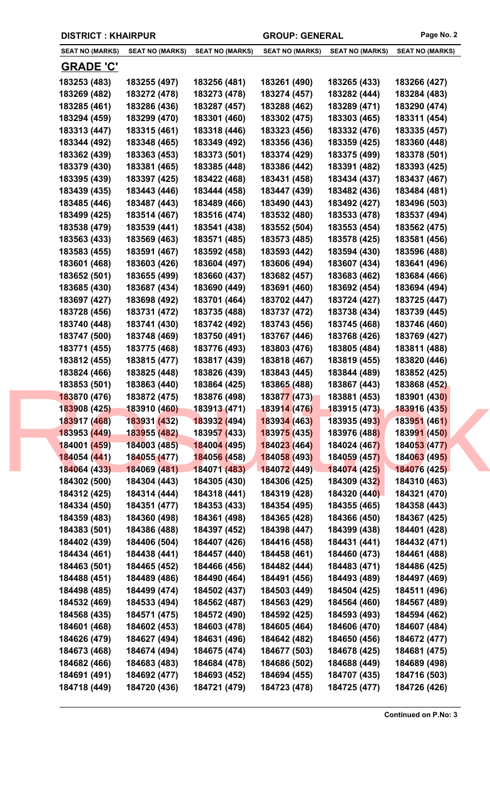|  |  | <b>DISTRICT: KHAIRPUR</b> |
|--|--|---------------------------|
|--|--|---------------------------|

GROUP: GENERAL Page No. 2

| <b>SEAT NO (MARKS)</b> | <b>SEAT NO (MARKS)</b>     | <b>SEAT NO (MARKS)</b>      | <b>SEAT NO (MARKS)</b>    | <b>SEAT NO (MARKS)</b> | <b>SEAT NO (MARKS)</b> |
|------------------------|----------------------------|-----------------------------|---------------------------|------------------------|------------------------|
| <b>GRADE 'C'</b>       |                            |                             |                           |                        |                        |
| 183253 (483)           | 183255 (497)               | 183256 (481)                | 183261 (490)              | 183265 (433)           | 183266 (427)           |
| 183269 (482)           | 183272 (478)               | 183273 (478)                | 183274 (457)              | 183282 (444)           | 183284 (483)           |
| 183285 (461)           | 183286 (436)               | 183287 (457)                | 183288 (462)              | 183289 (471)           | 183290 (474)           |
| 183294 (459)           | 183299 (470)               | 183301 (460)                | 183302 (475)              | 183303 (465)           | 183311 (454)           |
| 183313 (447)           | 183315 (461)               | 183318 (446)                | 183323 (456)              | 183332 (476)           | 183335 (457)           |
| 183344 (492)           | 183348 (465)               | 183349 (492)                | 183356 (436)              | 183359 (425)           | 183360 (448)           |
| 183362 (439)           | 183363 (453)               | 183373 (501)                | 183374 (429)              | 183375 (499)           | 183378 (501)           |
| 183379 (430)           | 183381 (465)               | 183385 (448)                | 183386 (442)              | 183391 (482)           | 183393 (425)           |
| 183395 (439)           | 183397 (425)               | 183422 (468)                | 183431 (458)              | 183434 (437)           | 183437 (467)           |
| 183439 (435)           | 183443 (446)               | 183444 (458)                | 183447 (439)              | 183482 (436)           | 183484 (481)           |
| 183485 (446)           | 183487 (443)               | 183489 (466)                | 183490 (443)              | 183492 (427)           | 183496 (503)           |
| 183499 (425)           | 183514 (467)               | 183516 (474)                | 183532 (480)              | 183533 (478)           | 183537 (494)           |
| 183538 (479)           | 183539 (441)               | 183541 (438)                | 183552 (504)              | 183553 (454)           | 183562 (475)           |
| 183563 (433)           | 183569 (463)               | 183571 (485)                | 183573 (485)              | 183578 (425)           | 183581 (456)           |
| 183583 (455)           | 183591 (467)               | 183592 (458)                | 183593 (442)              | 183594 (430)           | 183596 (488)           |
| 183601 (468)           | 183603 (426)               | 183604 (497)                | 183606 (494)              | 183607 (434)           | 183641 (496)           |
| 183652 (501)           | 183655 (499)               | 183660 (437)                | 183682 (457)              | 183683 (462)           | 183684 (466)           |
| 183685 (430)           | 183687 (434)               | 183690 (449)                | 183691 (460)              | 183692 (454)           | 183694 (494)           |
| 183697 (427)           | 183698 (492)               | 183701 (464)                | 183702 (447)              | 183724 (427)           | 183725 (447)           |
| 183728 (456)           | 183731 (472)               | 183735 (488)                | 183737 (472)              | 183738 (434)           | 183739 (445)           |
|                        |                            |                             |                           |                        |                        |
| 183740 (448)           | 183741 (430)               | 183742 (492)                | 183743 (456)              | 183745 (468)           | 183746 (460)           |
| 183747 (500)           | 183748 (469)               | 183750 (491)                | 183767 (446)              | 183768 (426)           | 183769 (427)           |
| 183771 (455)           | 183775 (468)               | 183776 (493)                | 183803 (476)              | 183805 (484)           | 183811 (488)           |
| 183812 (455)           | 183815 (477)               | 183817 (439)                | 183818 (467)              | 183819 (455)           | 183820 (446)           |
| 183824 (466)           | 183825 (448)               | 183826 (439)                | 183843 (445)              | 183844 (489)           | 183852 (425)           |
| 183853 (501)           | 183863 (440)               | 183864 (425)                | 183865 (488)              | 183867 (443)           | 183868 (452)           |
| 183870 (476)           | 183872 (475)               | 183876 (498)                | 183877 (473)              | 183881 (453)           | 183901 (430)           |
| 183908 (425)           | 183910 (460)  183913 (471) |                             | <mark>183914 (476)</mark> | 183915 (473)           | 183916 (435)           |
| 183917 (468)           | 183931 (432)               | 183932 (494)                | 183934 (463)              | 183935 (493)           | 183951 (461)           |
| 183953 (449)           | 183955 (482)               | 18395 <mark>7 (</mark> 433) | 183975 (435)              | 183976 (488)           | 183991 (450)           |
| 184001 (459)           | 184003 (485)               | 184004 (495)                | 184023 (464)              | 184024 (467)           | 184053 (477)           |
| 184054 (441)           | 184055 (477)               | 184056 (458)                | 184058 (493)              | 184059 (457)           | 184063 (495)           |
| 184064 (433)           | 184069 (481)               | 184071 (483)                | 184072 (449)              | 184074 (425)           | 184076 (425)           |
| 184302 (500)           | 184304 (443)               | 184305 (430)                | 184306 (425)              | 184309 (432)           | 184310 (463)           |
| 184312 (425)           | 184314 (444)               | 184318 (441)                | 184319 (428)              | 184320 (440)           | 184321 (470)           |
| 184334 (450)           | 184351 (477)               | 184353 (433)                | 184354 (495)              | 184355 (465)           | 184358 (443)           |
| 184359 (483)           | 184360 (498)               | 184361 (498)                | 184365 (428)              | 184366 (450)           | 184367 (425)           |
| 184383 (501)           | 184386 (488)               | 184397 (452)                | 184398 (447)              | 184399 (438)           | 184401 (428)           |
| 184402 (439)           | 184406 (504)               | 184407 (426)                | 184416 (458)              | 184431 (441)           | 184432 (471)           |
| 184434 (461)           | 184438 (441)               | 184457 (440)                | 184458 (461)              | 184460 (473)           | 184461 (488)           |
| 184463 (501)           | 184465 (452)               | 184466 (456)                | 184482 (444)              | 184483 (471)           | 184486 (425)           |
| 184488 (451)           | 184489 (486)               | 184490 (464)                | 184491 (456)              | 184493 (489)           | 184497 (469)           |
| 184498 (485)           | 184499 (474)               | 184502 (437)                | 184503 (449)              | 184504 (425)           | 184511 (496)           |
| 184532 (469)           | 184533 (494)               | 184562 (487)                | 184563 (429)              | 184564 (460)           | 184567 (489)           |
| 184568 (435)           | 184571 (475)               | 184572 (490)                | 184592 (425)              | 184593 (493)           | 184594 (462)           |
| 184601 (468)           | 184602 (453)               | 184603 (478)                | 184605 (464)              | 184606 (470)           | 184607 (484)           |
| 184626 (479)           | 184627 (494)               | 184631 (496)                | 184642 (482)              | 184650 (456)           | 184672 (477)           |
| 184673 (468)           | 184674 (494)               | 184675 (474)                | 184677 (503)              | 184678 (425)           | 184681 (475)           |
| 184682 (466)           | 184683 (483)               | 184684 (478)                | 184686 (502)              | 184688 (449)           | 184689 (498)           |
| 184691 (491)           | 184692 (477)               | 184693 (452)                | 184694 (455)              | 184707 (435)           | 184716 (503)           |
| 184718 (449)           | 184720 (436)               | 184721 (479)                | 184723 (478)              | 184725 (477)           | 184726 (426)           |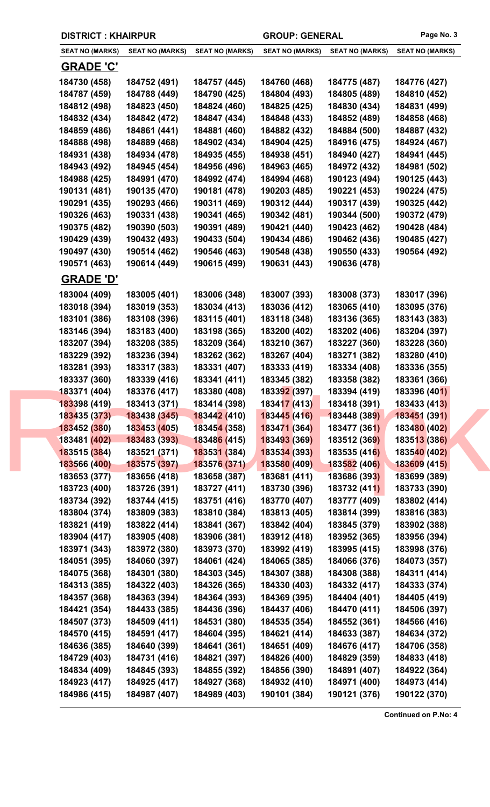|                              | <b>DISTRICT: KHAIRPUR</b><br><b>GROUP: GENERAL</b> |                              | Page No. 3                   |                              |                        |
|------------------------------|----------------------------------------------------|------------------------------|------------------------------|------------------------------|------------------------|
| <b>SEAT NO (MARKS)</b>       | <b>SEAT NO (MARKS)</b>                             | <b>SEAT NO (MARKS)</b>       | <b>SEAT NO (MARKS)</b>       | <b>SEAT NO (MARKS)</b>       | <b>SEAT NO (MARKS)</b> |
| <u>GRADE 'C'</u>             |                                                    |                              |                              |                              |                        |
| 184730 (458)                 | 184752 (491)                                       | 184757 (445)                 | 184760 (468)                 | 184775 (487)                 | 184776 (427)           |
| 184787 (459)                 | 184788 (449)                                       | 184790 (425)                 | 184804 (493)                 | 184805 (489)                 | 184810 (452)           |
| 184812 (498)                 | 184823 (450)                                       | 184824 (460)                 | 184825 (425)                 | 184830 (434)                 | 184831 (499)           |
| 184832 (434)                 | 184842 (472)                                       | 184847 (434)                 | 184848 (433)                 | 184852 (489)                 | 184858 (468)           |
| 184859 (486)                 | 184861 (441)                                       | 184881 (460)                 | 184882 (432)                 | 184884 (500)                 | 184887 (432)           |
| 184888 (498)                 | 184889 (468)                                       | 184902 (434)                 | 184904 (425)                 | 184916 (475)                 | 184924 (467)           |
| 184931 (438)                 | 184934 (478)                                       | 184935 (455)                 | 184938 (451)                 | 184940 (427)                 | 184941 (445)           |
| 184943 (492)                 | 184945 (454)                                       | 184956 (496)                 | 184963 (465)                 | 184972 (432)                 | 184981 (502)           |
| 184988 (425)                 | 184991 (470)                                       | 184992 (474)                 | 184994 (468)                 | 190123 (494)                 | 190125 (443)           |
| 190131 (481)                 | 190135 (470)                                       | 190181 (478)                 | 190203 (485)                 | 190221 (453)                 | 190224 (475)           |
| 190291 (435)                 | 190293 (466)                                       | 190311 (469)                 | 190312 (444)                 | 190317 (439)                 | 190325 (442)           |
| 190326 (463)                 | 190331 (438)                                       | 190341 (465)                 | 190342 (481)                 | 190344 (500)                 | 190372 (479)           |
| 190375 (482)                 | 190390 (503)                                       | 190391 (489)                 | 190421 (440)                 | 190423 (462)                 | 190428 (484)           |
| 190429 (439)                 | 190432 (493)                                       | 190433 (504)                 | 190434 (486)                 | 190462 (436)                 | 190485 (427)           |
| 190497 (430)                 | 190514 (462)                                       | 190546 (463)                 | 190548 (438)                 | 190550 (433)                 | 190564 (492)           |
| 190571 (463)                 | 190614 (449)                                       | 190615 (499)                 | 190631 (443)                 | 190636 (478)                 |                        |
| <u>GRADE 'D'</u>             |                                                    |                              |                              |                              |                        |
| 183004 (409)                 | 183005 (401)                                       | 183006 (348)                 | 183007 (393)                 | 183008 (373)                 | 183017 (396)           |
| 183018 (394)                 | 183019 (353)                                       | 183034 (413)                 | 183036 (412)                 | 183065 (410)                 | 183095 (376)           |
| 183101 (386)                 | 183108 (396)                                       | 183115 (401)                 | 183118 (348)                 | 183136 (365)                 | 183143 (383)           |
| 183146 (394)                 | 183183 (400)                                       | 183198 (365)                 | 183200 (402)                 | 183202 (406)                 | 183204 (397)           |
| 183207 (394)                 | 183208 (385)                                       | 183209 (364)                 | 183210 (367)                 | 183227 (360)                 | 183228 (360)           |
| 183229 (392)                 | 183236 (394)                                       | 183262 (362)                 | 183267 (404)                 | 183271 (382)                 | 183280 (410)           |
| 183281 (393)                 | 183317 (383)                                       | 183331 (407)                 | 183333 (419)                 | 183334 (408)                 | 183336 (355)           |
| 183337 (360)                 | 183339 (416)                                       | 183341 (411)                 | 183345 (382)                 | 183358 (382)                 | 183361 (366)           |
| 183371 (404)                 | 183376 (417)                                       | 183380 (408)                 | 183392 (397)                 | 183394 (419)                 | 183396 (401)           |
| 183398 (419)                 | 183413 (371)                                       | 183414 (398)                 | 183417 (413)                 | 183418 (391)                 | 183433 (413)           |
| 183435 (373)                 | 183438 (345)                                       | 183442 (410)                 | 183445 (416)                 | 183448 (389)                 | 183451 (391)           |
| 183452 (380)                 | 183453 (405)                                       | 183454 (358)                 | 183471 (364)                 | 183477 (361)                 | 183480 (402)           |
| 183481 (402)                 | 183483 (393)                                       | 183486 (415)                 | 183493 (369)                 | 183512 (369)                 | 183513 (386)           |
| 183515 (384)                 | 183521 (371)                                       | 183531 (384)                 | 183534 (393)                 | 183535 (416)                 | 183540 (402)           |
| 183566 (400)                 | 183575 (397)                                       | 183576 (371)                 | 183580 (409)                 | 183582 (406)                 | 183609 (415)           |
| 183653 (377)                 | 183656 (418)                                       | 183658 (387)                 | 183681 (411)                 | 183686 (393)                 | 183699 (389)           |
| 183723 (400)                 | 183726 (391)                                       | 183727 (411)                 | 183730 (396)                 | 183732 (411)                 | 183733 (390)           |
| 183734 (392)                 | 183744 (415)                                       | 183751 (416)                 | 183770 (407)                 | 183777 (409)                 | 183802 (414)           |
| 183804 (374)                 | 183809 (383)                                       | 183810 (384)                 | 183813 (405)                 | 183814 (399)                 | 183816 (383)           |
| 183821 (419)                 | 183822 (414)                                       | 183841 (367)                 | 183842 (404)                 | 183845 (379)                 | 183902 (388)           |
| 183904 (417)                 | 183905 (408)                                       | 183906 (381)                 | 183912 (418)                 | 183952 (365)                 | 183956 (394)           |
| 183971 (343)                 | 183972 (380)                                       | 183973 (370)                 | 183992 (419)                 | 183995 (415)                 | 183998 (376)           |
| 184051 (395)                 | 184060 (397)                                       | 184061 (424)                 | 184065 (385)                 | 184066 (376)                 | 184073 (357)           |
| 184075 (368)                 | 184301 (380)                                       | 184303 (345)                 | 184307 (388)                 | 184308 (388)                 | 184311 (414)           |
| 184313 (385)                 | 184322 (403)                                       | 184326 (365)                 | 184330 (403)                 | 184332 (417)                 | 184333 (374)           |
| 184357 (368)                 | 184363 (394)                                       | 184364 (393)                 | 184369 (395)                 | 184404 (401)                 | 184405 (419)           |
| 184421 (354)                 | 184433 (385)                                       | 184436 (396)                 | 184437 (406)                 | 184470 (411)                 | 184506 (397)           |
| 184507 (373)                 | 184509 (411)                                       | 184531 (380)                 | 184535 (354)                 | 184552 (361)                 | 184566 (416)           |
| 184570 (415)                 | 184591 (417)                                       | 184604 (395)                 | 184621 (414)                 | 184633 (387)                 | 184634 (372)           |
| 184636 (385)                 | 184640 (399)                                       | 184641 (361)                 | 184651 (409)                 | 184676 (417)                 | 184706 (358)           |
| 184729 (403)                 | 184731 (416)                                       | 184821 (397)                 | 184826 (400)                 | 184829 (359)                 | 184833 (418)           |
|                              | 184845 (393)                                       |                              |                              |                              |                        |
| 184834 (409)<br>184923 (417) | 184925 (417)                                       | 184855 (392)<br>184927 (368) | 184856 (390)<br>184932 (410) | 184891 (407)<br>184971 (400) | 184922 (364)           |
|                              |                                                    | 184989 (403)                 |                              |                              | 184973 (414)           |
| 184986 (415)                 | 184987 (407)                                       |                              | 190101 (384)                 | 190121 (376)                 | 190122 (370)           |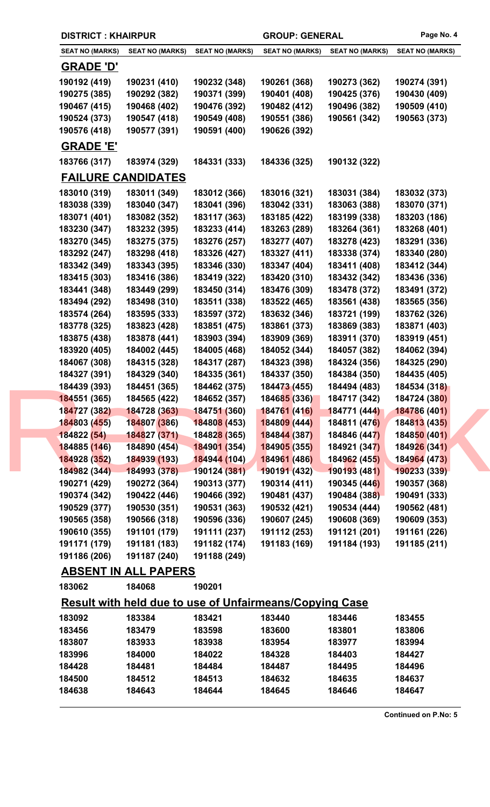| <b>DISTRICT: KHAIRPUR</b> |                             |                                                                | <b>GROUP: GENERAL</b>  | Page No. 4             |                        |
|---------------------------|-----------------------------|----------------------------------------------------------------|------------------------|------------------------|------------------------|
| <b>SEAT NO (MARKS)</b>    | <b>SEAT NO (MARKS)</b>      | <b>SEAT NO (MARKS)</b>                                         | <b>SEAT NO (MARKS)</b> | <b>SEAT NO (MARKS)</b> | <b>SEAT NO (MARKS)</b> |
| <b>GRADE 'D'</b>          |                             |                                                                |                        |                        |                        |
| 190192 (419)              | 190231 (410)                | 190232 (348)                                                   | 190261 (368)           | 190273 (362)           | 190274 (391)           |
| 190275 (385)              | 190292 (382)                | 190371 (399)                                                   | 190401 (408)           | 190425 (376)           | 190430 (409)           |
| 190467 (415)              | 190468 (402)                | 190476 (392)                                                   | 190482 (412)           | 190496 (382)           | 190509 (410)           |
| 190524 (373)              | 190547 (418)                | 190549 (408)                                                   | 190551 (386)           | 190561 (342)           | 190563 (373)           |
| 190576 (418)              | 190577 (391)                | 190591 (400)                                                   | 190626 (392)           |                        |                        |
| <b>GRADE 'E'</b>          |                             |                                                                |                        |                        |                        |
| 183766 (317)              | 183974 (329)                | 184331 (333)                                                   | 184336 (325)           | 190132 (322)           |                        |
|                           | <b>FAILURE CANDIDATES</b>   |                                                                |                        |                        |                        |
| 183010 (319)              | 183011 (349)                | 183012 (366)                                                   | 183016 (321)           | 183031 (384)           | 183032 (373)           |
| 183038 (339)              | 183040 (347)                | 183041 (396)                                                   | 183042 (331)           | 183063 (388)           | 183070 (371)           |
| 183071 (401)              | 183082 (352)                | 183117 (363)                                                   | 183185 (422)           | 183199 (338)           | 183203 (186)           |
| 183230 (347)              | 183232 (395)                | 183233 (414)                                                   | 183263 (289)           | 183264 (361)           | 183268 (401)           |
| 183270 (345)              | 183275 (375)                | 183276 (257)                                                   | 183277 (407)           | 183278 (423)           | 183291 (336)           |
| 183292 (247)              | 183298 (418)                | 183326 (427)                                                   | 183327 (411)           | 183338 (374)           | 183340 (280)           |
| 183342 (349)              | 183343 (395)                | 183346 (330)                                                   | 183347 (404)           | 183411 (408)           | 183412 (344)           |
| 183415 (303)              | 183416 (386)                | 183419 (322)                                                   | 183420 (310)           | 183432 (342)           | 183436 (336)           |
| 183441 (348)              | 183449 (299)                | 183450 (314)                                                   | 183476 (309)           | 183478 (372)           | 183491 (372)           |
| 183494 (292)              | 183498 (310)                | 183511 (338)                                                   | 183522 (465)           | 183561 (438)           | 183565 (356)           |
| 183574 (264)              | 183595 (333)                | 183597 (372)                                                   | 183632 (346)           | 183721 (199)           | 183762 (326)           |
| 183778 (325)              | 183823 (428)                | 183851 (475)                                                   | 183861 (373)           | 183869 (383)           | 183871 (403)           |
| 183875 (438)              | 183878 (441)                | 183903 (394)                                                   | 183909 (369)           | 183911 (370)           | 183919 (451)           |
| 183920 (405)              | 184002 (445)                | 184005 (468)                                                   | 184052 (344)           | 184057 (382)           | 184062 (394)           |
| 184067 (308)              | 184315 (328)                | 184317 (287)                                                   | 184323 (398)           | 184324 (356)           | 184325 (290)           |
| 184327 (391)              | 184329 (340)                | 184335 (361)                                                   | 184337 (350)           | 184384 (350)           | 184435 (405)           |
| 184439 (393)              | 184451 (365)                | 184462 (375)                                                   | 184473 (455)           | 184494 (483)           | 184534 (318)           |
| 184551 (365)              | 184565 (422)                | 184652 (357)                                                   | 184685 (336)           | 184717 (342)           | 184724 (380)           |
| 184727 (382)              | 184728 (363) 184751 (360)   |                                                                | 184761 (416)           | 184771 (444)           | 184786 (401)           |
| 184803 (455)              | 184807 (386)                | 18480 <mark>8 (453)</mark>                                     | 184809 (444)           | 184811 (476)           | 184813 (435)           |
| 184822 (54)               | 184827 (371)                | 18482 <mark>8 (</mark> 365)                                    | 184844 (387)           | 184846 (447)           | 184850 (401)           |
| 184885 (146)              | 184890 (454)                | 184901 (354)                                                   | 184905 (355)           | 184921 (347)           | 184926 (341)           |
| 184928 (352)              | 184939 (193)                | 184944 (104)                                                   | 184961 (486)           | 184962 (455)           | 184964 (473)           |
| 184982 (344)              | $-184993(378)$              | $-190124(381)$                                                 | 190191 (432)           | 190193 (481)           | 190233 (339)           |
| 190271 (429)              | 190272 (364)                | 190313 (377)                                                   | 190314 (411)           | 190345 (446)           | 190357 (368)           |
| 190374 (342)              | 190422 (446)                | 190466 (392)                                                   | 190481 (437)           | 190484 (388)           | 190491 (333)           |
| 190529 (377)              | 190530 (351)                | 190531 (363)                                                   | 190532 (421)           | 190534 (444)           | 190562 (481)           |
| 190565 (358)              | 190566 (318)                | 190596 (336)                                                   | 190607 (245)           | 190608 (369)           | 190609 (353)           |
| 190610 (355)              | 191101 (179)                | 191111 (237)                                                   | 191112 (253)           | 191121 (201)           | 191161 (226)           |
| 191171 (179)              | 191181 (183)                | 191182 (174)                                                   | 191183 (169)           | 191184 (193)           | 191185 (211)           |
| 191186 (206)              | 191187 (240)                | 191188 (249)                                                   |                        |                        |                        |
|                           | <b>ABSENT IN ALL PAPERS</b> |                                                                |                        |                        |                        |
| 183062                    | 184068                      | 190201                                                         |                        |                        |                        |
|                           |                             | <b>Result with held due to use of Unfairmeans/Copying Case</b> |                        |                        |                        |
| 183092                    | 183384                      | 183421                                                         | 183440                 | 183446                 | 183455                 |
| 183456                    | 183479                      | 183598                                                         | 183600                 | 183801                 | 183806                 |
| 183807                    | 183933                      | 183938                                                         | 183954                 | 183977                 | 183994                 |
| 183996                    | 184000                      | 184022                                                         | 184328                 | 184403                 | 184427                 |
| 184428                    | 184481                      | 184484                                                         | 184487                 | 184495                 | 184496                 |
| 184500                    | 184512                      | 184513                                                         | 184632                 | 184635                 | 184637                 |
| 184638                    | 184643                      | 184644                                                         | 184645                 | 184646                 | 184647                 |